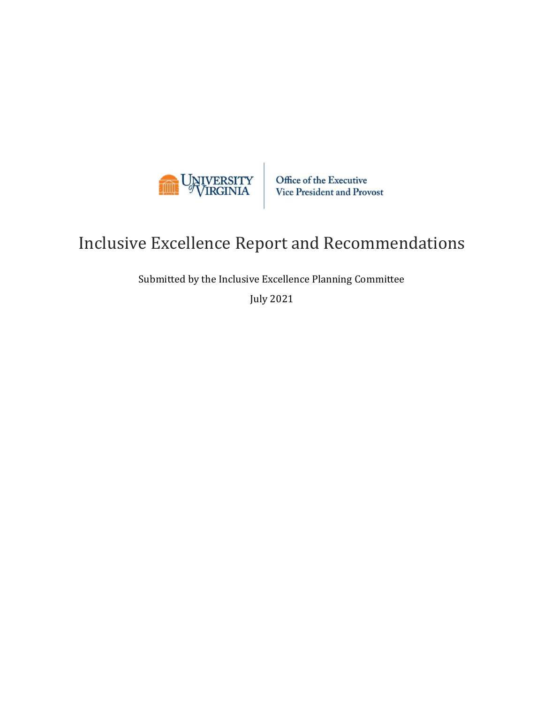

Office of the Executive Vice President and Provost

# Inclusive Excellence Report and Recommendations

Submitted by the Inclusive Excellence Planning Committee

July 2021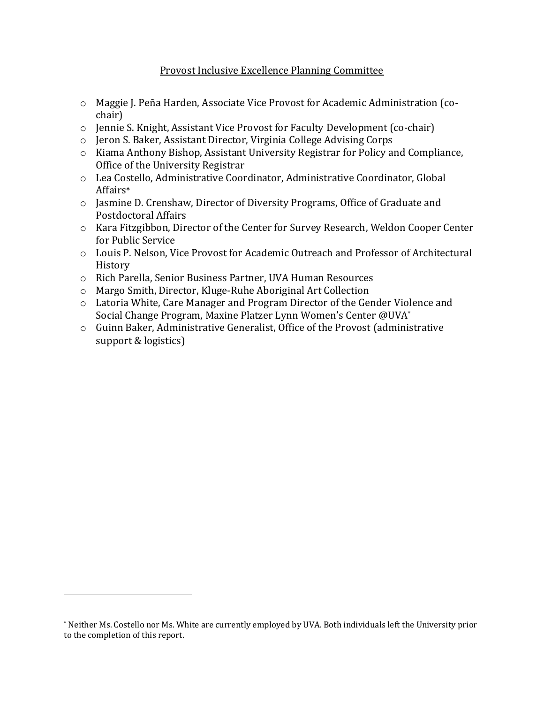#### Provost Inclusive Excellence Planning Committee

- o Maggie J. Peña Harden, Associate Vice Provost for Academic Administration (cochair)
- o Jennie S. Knight, Assistant Vice Provost for Faculty Development (co-chair)
- o Jeron S. Baker, Assistant Director, Virginia College Advising Corps
- o Kiama Anthony Bishop, Assistant University Registrar for Policy and Compliance, Office of the University Registrar
- o Lea Costello, Administrative Coordinator, Administrative Coordinator, Global Affairs\*
- o Jasmine D. Crenshaw, Director of Diversity Programs, Office of Graduate and Postdoctoral Affairs
- o Kara Fitzgibbon, Director of the Center for Survey Research, Weldon Cooper Center for Public Service
- o Louis P. Nelson, Vice Provost for Academic Outreach and Professor of Architectural History
- o Rich Parella, Senior Business Partner, UVA Human Resources
- o Margo Smith, Director, Kluge-Ruhe Aboriginal Art Collection
- o Latoria White, Care Manager and Program Director of the Gender Violence and Social Change Program, Maxine Platzer Lynn Women's Center @UVA\*
- o Guinn Baker, Administrative Generalist, Office of the Provost (administrative support & logistics)

<sup>\*</sup> Neither Ms. Costello nor Ms. White are currently employed by UVA. Both individuals left the University prior to the completion of this report.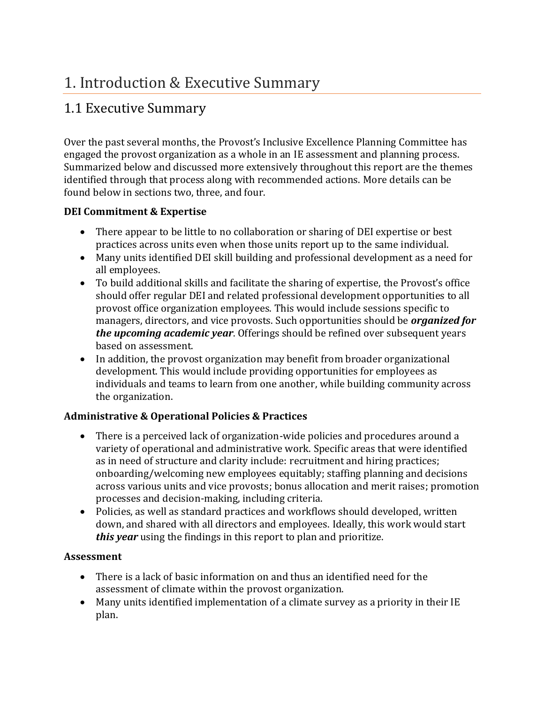# 1. Introduction & Executive Summary

## 1.1 Executive Summary

Over the past several months, the Provost's Inclusive Excellence Planning Committee has engaged the provost organization as a whole in an IE assessment and planning process. Summarized below and discussed more extensively throughout this report are the themes identified through that process along with recommended actions. More details can be found below in sections two, three, and four.

### **DEI Commitment & Expertise**

- There appear to be little to no collaboration or sharing of DEI expertise or best practices across units even when those units report up to the same individual.
- Many units identified DEI skill building and professional development as a need for all employees.
- To build additional skills and facilitate the sharing of expertise, the Provost's office should offer regular DEI and related professional development opportunities to all provost office organization employees. This would include sessions specific to managers, directors, and vice provosts. Such opportunities should be *organized for the upcoming academic year*. Offerings should be refined over subsequent years based on assessment.
- In addition, the provost organization may benefit from broader organizational development. This would include providing opportunities for employees as individuals and teams to learn from one another, while building community across the organization.

### **Administrative & Operational Policies & Practices**

- There is a perceived lack of organization-wide policies and procedures around a variety of operational and administrative work. Specific areas that were identified as in need of structure and clarity include: recruitment and hiring practices; onboarding/welcoming new employees equitably; staffing planning and decisions across various units and vice provosts; bonus allocation and merit raises; promotion processes and decision-making, including criteria.
- Policies, as well as standard practices and workflows should developed, written down, and shared with all directors and employees. Ideally, this work would start *this year* using the findings in this report to plan and prioritize.

### **Assessment**

- There is a lack of basic information on and thus an identified need for the assessment of climate within the provost organization.
- Many units identified implementation of a climate survey as a priority in their IE plan.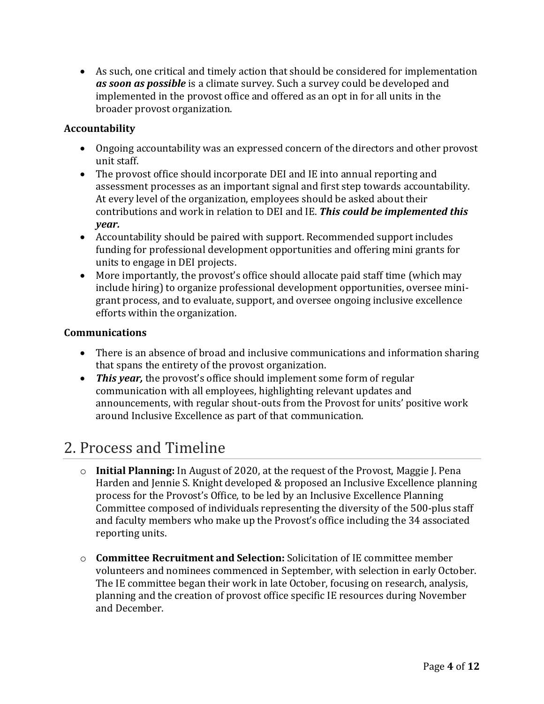• As such, one critical and timely action that should be considered for implementation *as soon as possible* is a climate survey. Such a survey could be developed and implemented in the provost office and offered as an opt in for all units in the broader provost organization.

### **Accountability**

- Ongoing accountability was an expressed concern of the directors and other provost unit staff.
- The provost office should incorporate DEI and IE into annual reporting and assessment processes as an important signal and first step towards accountability. At every level of the organization, employees should be asked about their contributions and work in relation to DEI and IE. *This could be implemented this year.*
- Accountability should be paired with support. Recommended support includes funding for professional development opportunities and offering mini grants for units to engage in DEI projects.
- More importantly, the provost's office should allocate paid staff time (which may include hiring) to organize professional development opportunities, oversee minigrant process, and to evaluate, support, and oversee ongoing inclusive excellence efforts within the organization.

#### **Communications**

- There is an absence of broad and inclusive communications and information sharing that spans the entirety of the provost organization.
- *This year*, the provost's office should implement some form of regular communication with all employees, highlighting relevant updates and announcements, with regular shout-outs from the Provost for units' positive work around Inclusive Excellence as part of that communication.

# 2. Process and Timeline

- o **Initial Planning:** In August of 2020, at the request of the Provost, Maggie J. Pena Harden and Jennie S. Knight developed & proposed an Inclusive Excellence planning process for the Provost's Office, to be led by an Inclusive Excellence Planning Committee composed of individuals representing the diversity of the 500-plus staff and faculty members who make up the Provost's office including the 34 associated reporting units.
- o **Committee Recruitment and Selection:** Solicitation of IE committee member volunteers and nominees commenced in September, with selection in early October. The IE committee began their work in late October, focusing on research, analysis, planning and the creation of provost office specific IE resources during November and December.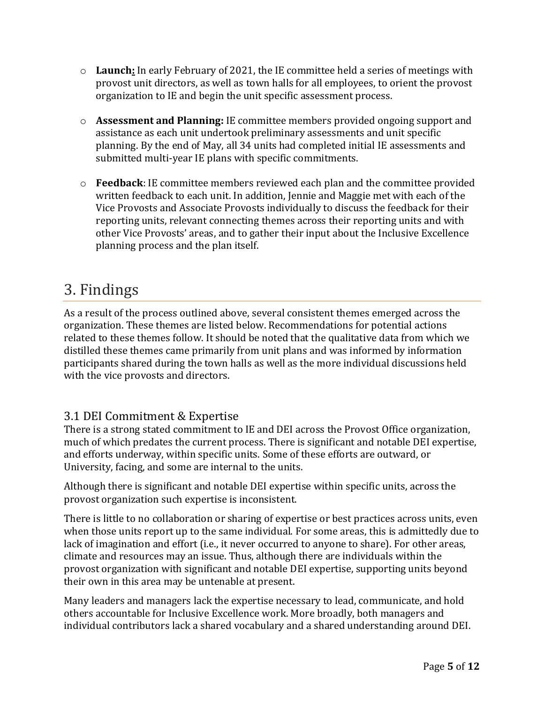- o **Launch:** In early February of 2021, the IE committee held a series of meetings with provost unit directors, as well as town halls for all employees, to orient the provost organization to IE and begin the unit specific assessment process.
- o **Assessment and Planning:** IE committee members provided ongoing support and assistance as each unit undertook preliminary assessments and unit specific planning. By the end of May, all 34 units had completed initial IE assessments and submitted multi-year IE plans with specific commitments.
- o **Feedback**: IE committee members reviewed each plan and the committee provided written feedback to each unit. In addition, Jennie and Maggie met with each of the Vice Provosts and Associate Provosts individually to discuss the feedback for their reporting units, relevant connecting themes across their reporting units and with other Vice Provosts' areas, and to gather their input about the Inclusive Excellence planning process and the plan itself.

# 3. Findings

As a result of the process outlined above, several consistent themes emerged across the organization. These themes are listed below. Recommendations for potential actions related to these themes follow. It should be noted that the qualitative data from which we distilled these themes came primarily from unit plans and was informed by information participants shared during the town halls as well as the more individual discussions held with the vice provosts and directors.

## 3.1 DEI Commitment & Expertise

There is a strong stated commitment to IE and DEI across the Provost Office organization, much of which predates the current process. There is significant and notable DEI expertise, and efforts underway, within specific units. Some of these efforts are outward, or University, facing, and some are internal to the units.

Although there is significant and notable DEI expertise within specific units, across the provost organization such expertise is inconsistent.

There is little to no collaboration or sharing of expertise or best practices across units, even when those units report up to the same individual. For some areas, this is admittedly due to lack of imagination and effort (i.e., it never occurred to anyone to share). For other areas, climate and resources may an issue. Thus, although there are individuals within the provost organization with significant and notable DEI expertise, supporting units beyond their own in this area may be untenable at present.

Many leaders and managers lack the expertise necessary to lead, communicate, and hold others accountable for Inclusive Excellence work. More broadly, both managers and individual contributors lack a shared vocabulary and a shared understanding around DEI.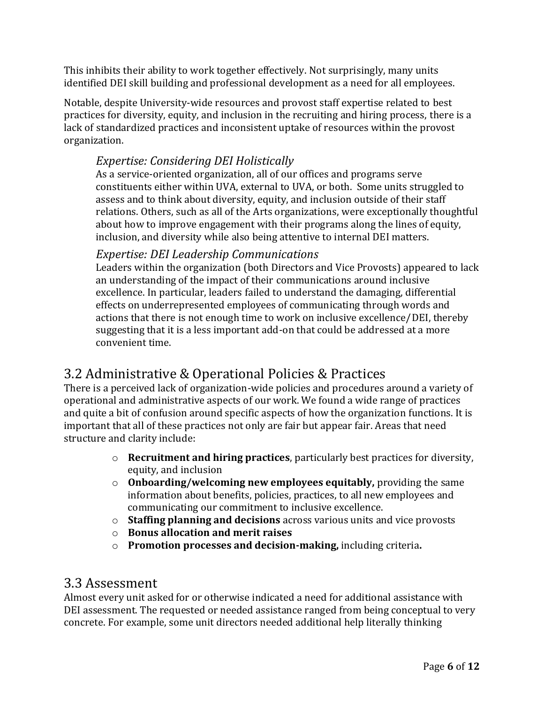This inhibits their ability to work together effectively. Not surprisingly, many units identified DEI skill building and professional development as a need for all employees.

Notable, despite University-wide resources and provost staff expertise related to best practices for diversity, equity, and inclusion in the recruiting and hiring process, there is a lack of standardized practices and inconsistent uptake of resources within the provost organization.

### *Expertise: Considering DEI Holistically*

As a service-oriented organization, all of our offices and programs serve constituents either within UVA, external to UVA, or both. Some units struggled to assess and to think about diversity, equity, and inclusion outside of their staff relations. Others, such as all of the Arts organizations, were exceptionally thoughtful about how to improve engagement with their programs along the lines of equity, inclusion, and diversity while also being attentive to internal DEI matters.

### *Expertise: DEI Leadership Communications*

Leaders within the organization (both Directors and Vice Provosts) appeared to lack an understanding of the impact of their communications around inclusive excellence. In particular, leaders failed to understand the damaging, differential effects on underrepresented employees of communicating through words and actions that there is not enough time to work on inclusive excellence/DEI, thereby suggesting that it is a less important add-on that could be addressed at a more convenient time.

## 3.2 Administrative & Operational Policies & Practices

There is a perceived lack of organization-wide policies and procedures around a variety of operational and administrative aspects of our work. We found a wide range of practices and quite a bit of confusion around specific aspects of how the organization functions. It is important that all of these practices not only are fair but appear fair. Areas that need structure and clarity include:

- o **Recruitment and hiring practices**, particularly best practices for diversity, equity, and inclusion
- o **Onboarding/welcoming new employees equitably,** providing the same information about benefits, policies, practices, to all new employees and communicating our commitment to inclusive excellence.
- o **Staffing planning and decisions** across various units and vice provosts
- o **Bonus allocation and merit raises**
- o **Promotion processes and decision-making,** including criteria**.**

## 3.3 Assessment

Almost every unit asked for or otherwise indicated a need for additional assistance with DEI assessment. The requested or needed assistance ranged from being conceptual to very concrete. For example, some unit directors needed additional help literally thinking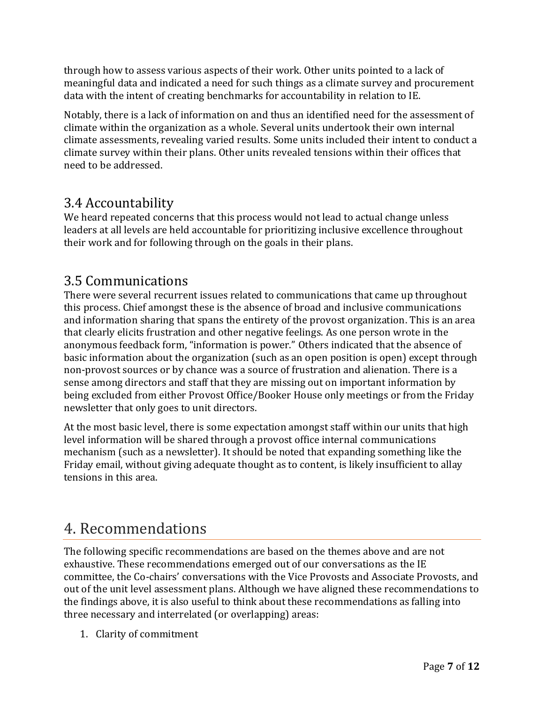through how to assess various aspects of their work. Other units pointed to a lack of meaningful data and indicated a need for such things as a climate survey and procurement data with the intent of creating benchmarks for accountability in relation to IE.

Notably, there is a lack of information on and thus an identified need for the assessment of climate within the organization as a whole. Several units undertook their own internal climate assessments, revealing varied results. Some units included their intent to conduct a climate survey within their plans. Other units revealed tensions within their offices that need to be addressed.

## 3.4 Accountability

We heard repeated concerns that this process would not lead to actual change unless leaders at all levels are held accountable for prioritizing inclusive excellence throughout their work and for following through on the goals in their plans.

## 3.5 Communications

There were several recurrent issues related to communications that came up throughout this process. Chief amongst these is the absence of broad and inclusive communications and information sharing that spans the entirety of the provost organization. This is an area that clearly elicits frustration and other negative feelings. As one person wrote in the anonymous feedback form, "information is power." Others indicated that the absence of basic information about the organization (such as an open position is open) except through non-provost sources or by chance was a source of frustration and alienation. There is a sense among directors and staff that they are missing out on important information by being excluded from either Provost Office/Booker House only meetings or from the Friday newsletter that only goes to unit directors.

At the most basic level, there is some expectation amongst staff within our units that high level information will be shared through a provost office internal communications mechanism (such as a newsletter). It should be noted that expanding something like the Friday email, without giving adequate thought as to content, is likely insufficient to allay tensions in this area.

# 4. Recommendations

The following specific recommendations are based on the themes above and are not exhaustive. These recommendations emerged out of our conversations as the IE committee, the Co-chairs' conversations with the Vice Provosts and Associate Provosts, and out of the unit level assessment plans. Although we have aligned these recommendations to the findings above, it is also useful to think about these recommendations as falling into three necessary and interrelated (or overlapping) areas:

1. Clarity of commitment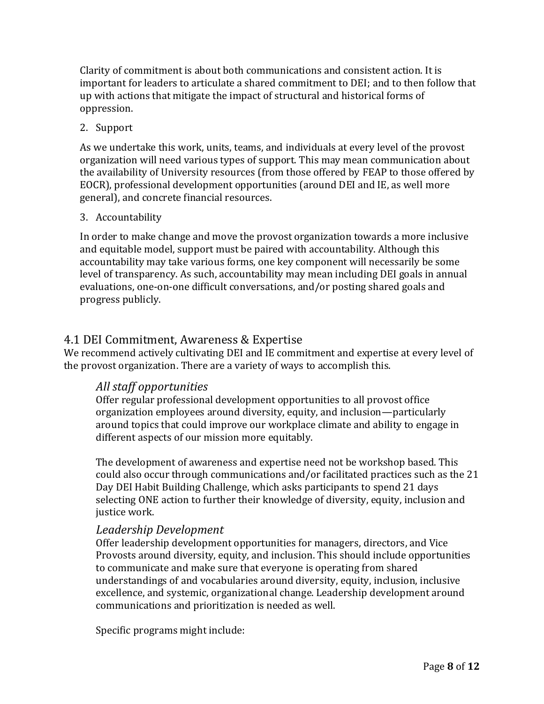Clarity of commitment is about both communications and consistent action. It is important for leaders to articulate a shared commitment to DEI; and to then follow that up with actions that mitigate the impact of structural and historical forms of oppression.

#### 2. Support

As we undertake this work, units, teams, and individuals at every level of the provost organization will need various types of support. This may mean communication about the availability of University resources (from those offered by FEAP to those offered by EOCR), professional development opportunities (around DEI and IE, as well more general), and concrete financial resources.

#### 3. Accountability

In order to make change and move the provost organization towards a more inclusive and equitable model, support must be paired with accountability. Although this accountability may take various forms, one key component will necessarily be some level of transparency. As such, accountability may mean including DEI goals in annual evaluations, one-on-one difficult conversations, and/or posting shared goals and progress publicly.

### 4.1 DEI Commitment, Awareness & Expertise

We recommend actively cultivating DEI and IE commitment and expertise at every level of the provost organization. There are a variety of ways to accomplish this.

### *All staff opportunities*

Offer regular professional development opportunities to all provost office organization employees around diversity, equity, and inclusion—particularly around topics that could improve our workplace climate and ability to engage in different aspects of our mission more equitably.

The development of awareness and expertise need not be workshop based. This could also occur through communications and/or facilitated practices such as the 21 Day DEI Habit Building Challenge, which asks participants to spend 21 days selecting ONE action to further their knowledge of diversity, equity, inclusion and justice work.

### *Leadership Development*

Offer leadership development opportunities for managers, directors, and Vice Provosts around diversity, equity, and inclusion. This should include opportunities to communicate and make sure that everyone is operating from shared understandings of and vocabularies around diversity, equity, inclusion, inclusive excellence, and systemic, organizational change. Leadership development around communications and prioritization is needed as well.

Specific programs might include: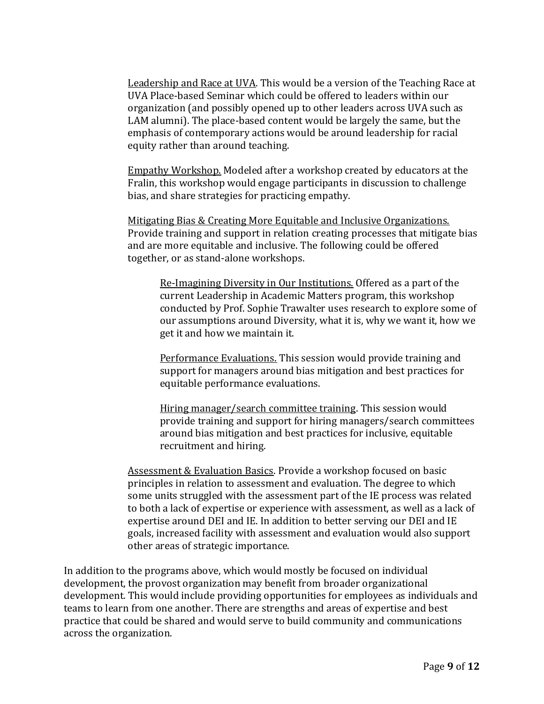Leadership and Race at UVA. This would be a version of the Teaching Race at UVA Place-based Seminar which could be offered to leaders within our organization (and possibly opened up to other leaders across UVA such as LAM alumni). The place-based content would be largely the same, but the emphasis of contemporary actions would be around leadership for racial equity rather than around teaching.

Empathy Workshop. Modeled after a workshop created by educators at the Fralin, this workshop would engage participants in discussion to challenge bias, and share strategies for practicing empathy.

Mitigating Bias & Creating More Equitable and Inclusive Organizations. Provide training and support in relation creating processes that mitigate bias and are more equitable and inclusive. The following could be offered together, or as stand-alone workshops.

Re-Imagining Diversity in Our Institutions. Offered as a part of the current Leadership in Academic Matters program, this workshop conducted by Prof. Sophie Trawalter uses research to explore some of our assumptions around Diversity, what it is, why we want it, how we get it and how we maintain it.

Performance Evaluations. This session would provide training and support for managers around bias mitigation and best practices for equitable performance evaluations.

Hiring manager/search committee training. This session would provide training and support for hiring managers/search committees around bias mitigation and best practices for inclusive, equitable recruitment and hiring.

Assessment & Evaluation Basics. Provide a workshop focused on basic principles in relation to assessment and evaluation. The degree to which some units struggled with the assessment part of the IE process was related to both a lack of expertise or experience with assessment, as well as a lack of expertise around DEI and IE. In addition to better serving our DEI and IE goals, increased facility with assessment and evaluation would also support other areas of strategic importance.

In addition to the programs above, which would mostly be focused on individual development, the provost organization may benefit from broader organizational development. This would include providing opportunities for employees as individuals and teams to learn from one another. There are strengths and areas of expertise and best practice that could be shared and would serve to build community and communications across the organization.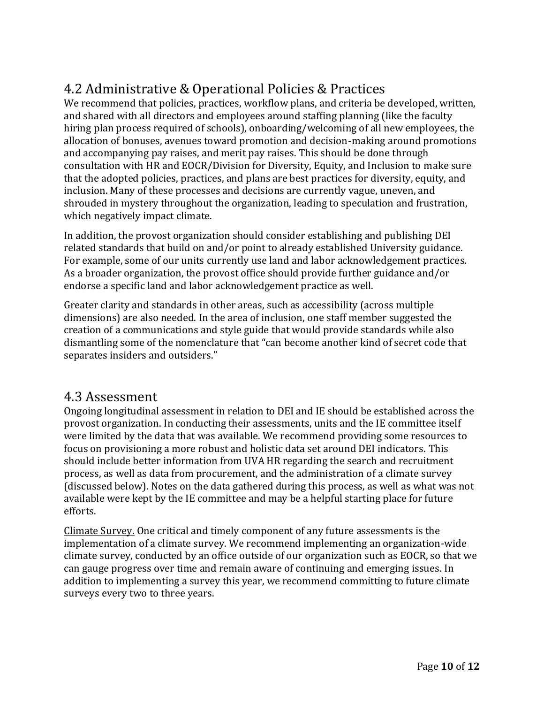# 4.2 Administrative & Operational Policies & Practices

We recommend that policies, practices, workflow plans, and criteria be developed, written, and shared with all directors and employees around staffing planning (like the faculty hiring plan process required of schools), onboarding/welcoming of all new employees, the allocation of bonuses, avenues toward promotion and decision-making around promotions and accompanying pay raises, and merit pay raises. This should be done through consultation with HR and EOCR/Division for Diversity, Equity, and Inclusion to make sure that the adopted policies, practices, and plans are best practices for diversity, equity, and inclusion. Many of these processes and decisions are currently vague, uneven, and shrouded in mystery throughout the organization, leading to speculation and frustration, which negatively impact climate.

In addition, the provost organization should consider establishing and publishing DEI related standards that build on and/or point to already established University guidance. For example, some of our units currently use land and labor acknowledgement practices. As a broader organization, the provost office should provide further guidance and/or endorse a specific land and labor acknowledgement practice as well.

Greater clarity and standards in other areas, such as accessibility (across multiple dimensions) are also needed. In the area of inclusion, one staff member suggested the creation of a communications and style guide that would provide standards while also dismantling some of the nomenclature that "can become another kind of secret code that separates insiders and outsiders."

## 4.3 Assessment

Ongoing longitudinal assessment in relation to DEI and IE should be established across the provost organization. In conducting their assessments, units and the IE committee itself were limited by the data that was available. We recommend providing some resources to focus on provisioning a more robust and holistic data set around DEI indicators. This should include better information from UVA HR regarding the search and recruitment process, as well as data from procurement, and the administration of a climate survey (discussed below). Notes on the data gathered during this process, as well as what was not available were kept by the IE committee and may be a helpful starting place for future efforts.

Climate Survey. One critical and timely component of any future assessments is the implementation of a climate survey. We recommend implementing an organization-wide climate survey, conducted by an office outside of our organization such as EOCR, so that we can gauge progress over time and remain aware of continuing and emerging issues. In addition to implementing a survey this year, we recommend committing to future climate surveys every two to three years.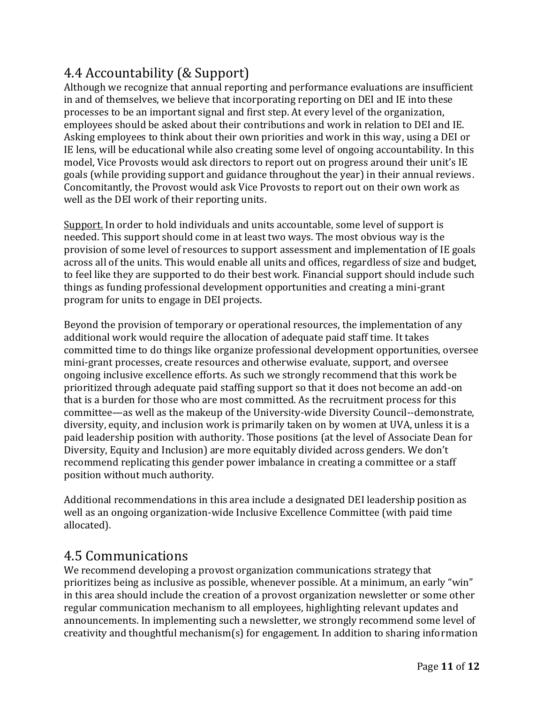# 4.4 Accountability (& Support)

Although we recognize that annual reporting and performance evaluations are insufficient in and of themselves, we believe that incorporating reporting on DEI and IE into these processes to be an important signal and first step. At every level of the organization, employees should be asked about their contributions and work in relation to DEI and IE. Asking employees to think about their own priorities and work in this way, using a DEI or IE lens, will be educational while also creating some level of ongoing accountability. In this model, Vice Provosts would ask directors to report out on progress around their unit's IE goals (while providing support and guidance throughout the year) in their annual reviews. Concomitantly, the Provost would ask Vice Provosts to report out on their own work as well as the DEI work of their reporting units.

Support. In order to hold individuals and units accountable, some level of support is needed. This support should come in at least two ways. The most obvious way is the provision of some level of resources to support assessment and implementation of IE goals across all of the units. This would enable all units and offices, regardless of size and budget, to feel like they are supported to do their best work. Financial support should include such things as funding professional development opportunities and creating a mini-grant program for units to engage in DEI projects.

Beyond the provision of temporary or operational resources, the implementation of any additional work would require the allocation of adequate paid staff time. It takes committed time to do things like organize professional development opportunities, oversee mini-grant processes, create resources and otherwise evaluate, support, and oversee ongoing inclusive excellence efforts. As such we strongly recommend that this work be prioritized through adequate paid staffing support so that it does not become an add-on that is a burden for those who are most committed. As the recruitment process for this committee—as well as the makeup of the University-wide Diversity Council--demonstrate, diversity, equity, and inclusion work is primarily taken on by women at UVA, unless it is a paid leadership position with authority. Those positions (at the level of Associate Dean for Diversity, Equity and Inclusion) are more equitably divided across genders. We don't recommend replicating this gender power imbalance in creating a committee or a staff position without much authority.

Additional recommendations in this area include a designated DEI leadership position as well as an ongoing organization-wide Inclusive Excellence Committee (with paid time allocated).

## 4.5 Communications

We recommend developing a provost organization communications strategy that prioritizes being as inclusive as possible, whenever possible. At a minimum, an early "win" in this area should include the creation of a provost organization newsletter or some other regular communication mechanism to all employees, highlighting relevant updates and announcements. In implementing such a newsletter, we strongly recommend some level of creativity and thoughtful mechanism(s) for engagement. In addition to sharing information